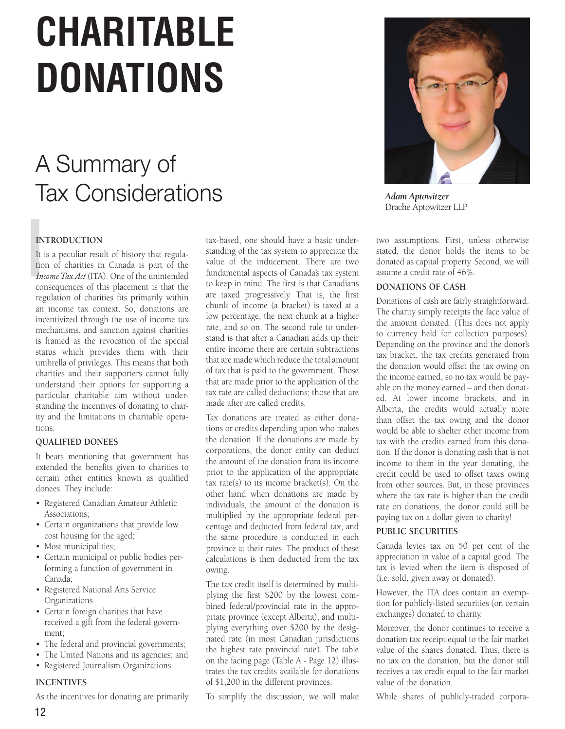# **CHARITABLE DONATIONS**

# A Summary of Tax Considerations



 $\frac{1}{10}$ <br>It is tioned that It is a peculiar result of history that regulation of charities in Canada is part of the *Income Tax Act* (ITA). One of the unintended consequences of this placement is that the regulation of charities fits primarily within an income tax context. So, donations are incentivized through the use of income tax mechanisms, and sanction against charities is framed as the revocation of the special status which provides them with their umbrella of privileges. This means that both charities and their supporters cannot fully understand their options for supporting a particular charitable aim without understanding the incentives of donating to charity and the limitations in charitable operations.

# **QUALIFIED DONEES**

It bears mentioning that government has extended the benefits given to charities to certain other entities known as qualified donees. They include:

- Registered Canadian Amateur Athletic Associations;
- Certain organizations that provide low cost housing for the aged;
- Most municipalities;
- Certain municipal or public bodies performing a function of government in Canada;
- Registered National Arts Service Organizations
- Certain foreign charities that have received a gift from the federal government;
- The federal and provincial governments;
- The United Nations and its agencies; and
- Registered Journalism Organizations.

# **INCENTIVES**

As the incentives for donating are primarily

tax-based, one should have a basic understanding of the tax system to appreciate the value of the inducement. There are two fundamental aspects of Canada's tax system to keep in mind. The first is that Canadians are taxed progressively. That is, the first chunk of income (a bracket) is taxed at a low percentage, the next chunk at a higher rate, and so on. The second rule to understand is that after a Canadian adds up their entire income there are certain subtractions that are made which reduce the total amount of tax that is paid to the government. Those that are made prior to the application of the tax rate are called deductions; those that are made after are called credits.

Tax donations are treated as either donations or credits depending upon who makes the donation. If the donations are made by corporations, the donor entity can deduct the amount of the donation from its income prior to the application of the appropriate tax rate(s) to its income bracket(s). On the other hand when donations are made by individuals, the amount of the donation is multiplied by the appropriate federal percentage and deducted from federal tax, and the same procedure is conducted in each province at their rates. The product of these calculations is then deducted from the tax owing.

The tax credit itself is determined by multiplying the first \$200 by the lowest combined federal/provincial rate in the appropriate province (except Alberta), and multiplying everything over \$200 by the designated rate (in most Canadian jurisdictions the highest rate provincial rate). The table on the facing page (Table A - Page 12) illustrates the tax credits available for donations of \$1,200 in the different provinces.

To simplify the discussion, we will make



*Adam Aptowitzer* Drache Aptowitzer LLP

two assumptions. First, unless otherwise stated, the donor holds the items to be donated as capital property. Second, we will assume a credit rate of 46%.

# **DONATIONS OF CASH**

Donations of cash are fairly straightforward. The charity simply receipts the face value of the amount donated. (This does not apply to currency held for collection purposes). Depending on the province and the donor's tax bracket, the tax credits generated from the donation would offset the tax owing on the income earned, so no tax would be payable on the money earned – and then donated. At lower income brackets, and in Alberta, the credits would actually more than offset the tax owing and the donor would be able to shelter other income from tax with the credits earned from this donation. If the donor is donating cash that is not income to them in the year donating, the credit could be used to offset taxes owing from other sources. But, in those provinces where the tax rate is higher than the credit rate on donations, the donor could still be paying tax on a dollar given to charity!

# **PUBLIC SECURITIES**

Canada levies tax on 50 per cent of the appreciation in value of a capital good. The tax is levied when the item is disposed of (i.e. sold, given away or donated).

However, the ITA does contain an exemption for publicly-listed securities (on certain exchanges) donated to charity.

Moreover, the donor continues to receive a donation tax receipt equal to the fair market value of the shares donated. Thus, there is no tax on the donation, but the donor still receives a tax credit equal to the fair market value of the donation.

While shares of publicly-traded corpora-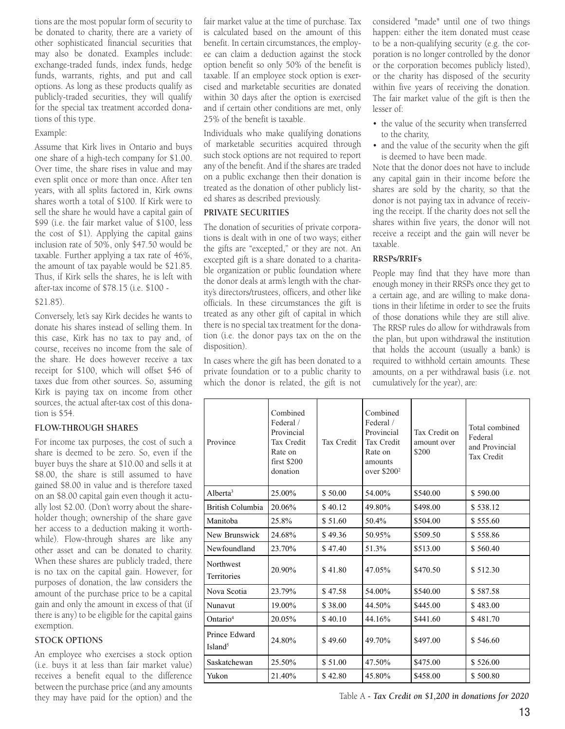tions are the most popular form of security to be donated to charity, there are a variety of other sophisticated financial securities that may also be donated. Examples include: exchange-traded funds, index funds, hedge funds, warrants, rights, and put and call options. As long as these products qualify as publicly-traded securities, they will qualify for the special tax treatment accorded donations of this type.

#### Example:

Assume that Kirk lives in Ontario and buys one share of a high-tech company for \$1.00. Over time, the share rises in value and may even split once or more than once. After ten years, with all splits factored in, Kirk owns shares worth a total of \$100. If Kirk were to sell the share he would have a capital gain of \$99 (i.e. the fair market value of \$100, less the cost of \$1). Applying the capital gains inclusion rate of 50%, only \$47.50 would be taxable. Further applying a tax rate of 46%, the amount of tax payable would be \$21.85. Thus, if Kirk sells the shares, he is left with after-tax income of \$78.15 (i.e. \$100 -

# \$21.85).

Conversely, let's say Kirk decides he wants to donate his shares instead of selling them. In this case, Kirk has no tax to pay and, of course, receives no income from the sale of the share. He does however receive a tax receipt for \$100, which will offset \$46 of taxes due from other sources. So, assuming Kirk is paying tax on income from other sources, the actual after-tax cost of this donation is \$54.

# **FLOW-THROUGH SHARES**

For income tax purposes, the cost of such a share is deemed to be zero. So, even if the buyer buys the share at \$10.00 and sells it at \$8.00, the share is still assumed to have gained \$8.00 in value and is therefore taxed on an \$8.00 capital gain even though it actually lost \$2.00. (Don't worry about the shareholder though; ownership of the share gave her access to a deduction making it worthwhile). Flow-through shares are like any other asset and can be donated to charity. When these shares are publicly traded, there is no tax on the capital gain. However, for purposes of donation, the law considers the amount of the purchase price to be a capital gain and only the amount in excess of that (if there is any) to be eligible for the capital gains exemption.

# **STOCK OPTIONS**

An employee who exercises a stock option (i.e. buys it at less than fair market value) receives a benefit equal to the difference between the purchase price (and any amounts they may have paid for the option) and the

fair market value at the time of purchase. Tax is calculated based on the amount of this benefit. In certain circumstances, the employee can claim a deduction against the stock option benefit so only 50% of the benefit is taxable. If an employee stock option is exercised and marketable securities are donated within 30 days after the option is exercised and if certain other conditions are met, only 25% of the benefit is taxable.

Individuals who make qualifying donations of marketable securities acquired through such stock options are not required to report any of the benefit. And if the shares are traded on a public exchange then their donation is treated as the donation of other publicly listed shares as described previously.

# **PRIVATE SECURITIES**

The donation of securities of private corporations is dealt with in one of two ways; either the gifts are "excepted," or they are not. An excepted gift is a share donated to a charitable organization or public foundation where the donor deals at arm's length with the charity's directors/trustees, officers, and other like officials. In these circumstances the gift is treated as any other gift of capital in which there is no special tax treatment for the donation (i.e. the donor pays tax on the on the disposition).

In cases where the gift has been donated to a private foundation or to a public charity to which the donor is related, the gift is not

considered "made" until one of two things happen: either the item donated must cease to be a non-qualifying security (e.g. the corporation is no longer controlled by the donor or the corporation becomes publicly listed), or the charity has disposed of the security within five years of receiving the donation. The fair market value of the gift is then the lesser of:

- the value of the security when transferred to the charity,
- and the value of the security when the gift is deemed to have been made.

Note that the donor does not have to include any capital gain in their income before the shares are sold by the charity, so that the donor is not paying tax in advance of receiving the receipt. If the charity does not sell the shares within five years, the donor will not receive a receipt and the gain will never be taxable.

# **RRSPs/RRIFs**

People may find that they have more than enough money in their RRSPs once they get to a certain age, and are willing to make donations in their lifetime in order to see the fruits of those donations while they are still alive. The RRSP rules do allow for withdrawals from the plan, but upon withdrawal the institution that holds the account (usually a bank) is required to withhold certain amounts. These amounts, on a per withdrawal basis (i.e. not cumulatively for the year), are:

| Province                             | Combined<br>Federal /<br>Provincial<br>Tax Credit<br>Rate on<br>first \$200<br>donation | Tax Credit | Combined<br>Federal /<br>Provincial<br><b>Tax Credit</b><br>Rate on<br>amounts<br>over $$200^2$ | Tax Credit on<br>amount over<br>\$200 | Total combined<br>Federal<br>and Provincial<br>Tax Credit |
|--------------------------------------|-----------------------------------------------------------------------------------------|------------|-------------------------------------------------------------------------------------------------|---------------------------------------|-----------------------------------------------------------|
| Alberta $3$                          | 25.00%                                                                                  | \$50.00    | 54.00%                                                                                          | \$540.00                              | \$590.00                                                  |
| British Columbia                     | 20.06%                                                                                  | \$40.12    | 49.80%                                                                                          | \$498.00                              | \$538.12                                                  |
| Manitoba                             | 25.8%                                                                                   | \$51.60    | 50.4%                                                                                           | \$504.00                              | \$555.60                                                  |
| New Brunswick                        | 24.68%                                                                                  | \$49.36    | 50.95%                                                                                          | \$509.50                              | \$558.86                                                  |
| Newfoundland                         | 23.70%                                                                                  | \$47.40    | 51.3%                                                                                           | \$513.00                              | \$560.40                                                  |
| Northwest<br>Territories             | 20.90%                                                                                  | \$41.80    | 47.05%                                                                                          | \$470.50                              | \$512.30                                                  |
| Nova Scotia                          | 23.79%                                                                                  | \$47.58    | 54.00%                                                                                          | \$540.00                              | \$587.58                                                  |
| Nunavut                              | 19.00%                                                                                  | \$38.00    | 44.50%                                                                                          | \$445.00                              | \$483.00                                                  |
| Ontario <sup>4</sup>                 | 20.05%                                                                                  | \$40.10    | 44.16%                                                                                          | \$441.60                              | \$481.70                                                  |
| Prince Edward<br>Island <sup>5</sup> | 24.80%                                                                                  | \$49.60    | 49.70%                                                                                          | \$497.00                              | \$546.60                                                  |
| Saskatchewan                         | 25.50%                                                                                  | \$51.00    | 47.50%                                                                                          | \$475.00                              | \$526.00                                                  |
| Yukon                                | 21.40%                                                                                  | \$42.80    | 45.80%                                                                                          | \$458.00                              | \$500.80                                                  |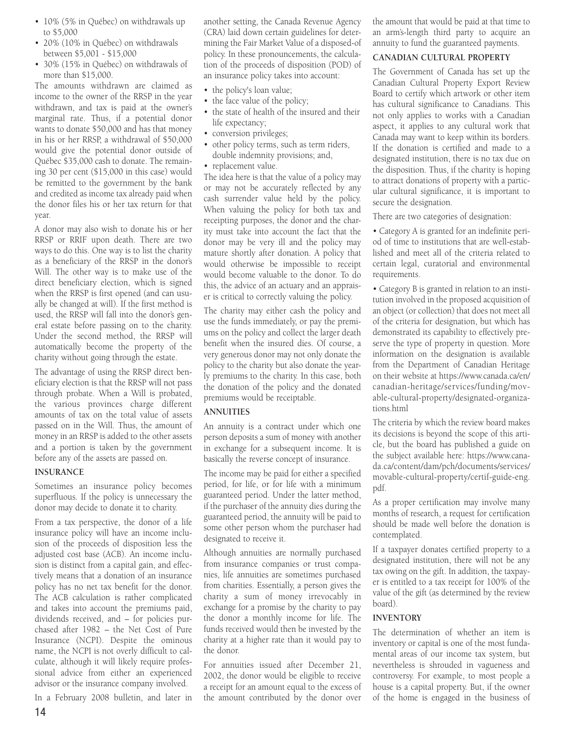- 10% (5% in Québec) on withdrawals up to \$5,000
- 20% (10% in Québec) on withdrawals between \$5,001 - \$15,000
- 30% (15% in Québec) on withdrawals of more than \$15,000.

The amounts withdrawn are claimed as income to the owner of the RRSP in the year withdrawn, and tax is paid at the owner's marginal rate. Thus, if a potential donor wants to donate \$50,000 and has that money in his or her RRSP, a withdrawal of \$50,000 would give the potential donor outside of Québec \$35,000 cash to donate. The remaining 30 per cent (\$15,000 in this case) would be remitted to the government by the bank and credited as income tax already paid when the donor files his or her tax return for that year.

A donor may also wish to donate his or her RRSP or RRIF upon death. There are two ways to do this. One way is to list the charity as a beneficiary of the RRSP in the donor's Will. The other way is to make use of the direct beneficiary election, which is signed when the RRSP is first opened (and can usually be changed at will). If the first method is used, the RRSP will fall into the donor's general estate before passing on to the charity. Under the second method, the RRSP will automatically become the property of the charity without going through the estate.

The advantage of using the RRSP direct beneficiary election is that the RRSP will not pass through probate. When a Will is probated, the various provinces charge different amounts of tax on the total value of assets passed on in the Will. Thus, the amount of money in an RRSP is added to the other assets and a portion is taken by the government before any of the assets are passed on.

# **INSURANCE**

Sometimes an insurance policy becomes superfluous. If the policy is unnecessary the donor may decide to donate it to charity.

From a tax perspective, the donor of a life insurance policy will have an income inclusion of the proceeds of disposition less the adjusted cost base (ACB). An income inclusion is distinct from a capital gain, and effectively means that a donation of an insurance policy has no net tax benefit for the donor. The ACB calculation is rather complicated and takes into account the premiums paid, dividends received, and – for policies purchased after 1982 – the Net Cost of Pure Insurance (NCPI). Despite the ominous name, the NCPI is not overly difficult to calculate, although it will likely require professional advice from either an experienced advisor or the insurance company involved.

In a February 2008 bulletin, and later in

another setting, the Canada Revenue Agency (CRA) laid down certain guidelines for determining the Fair Market Value of a disposed-of policy. In these pronouncements, the calculation of the proceeds of disposition (POD) of an insurance policy takes into account:

- the policy's loan value;
- the face value of the policy;
- the state of health of the insured and their life expectancy;
- conversion privileges;
- other policy terms, such as term riders, double indemnity provisions; and,
- replacement value.

The idea here is that the value of a policy may or may not be accurately reflected by any cash surrender value held by the policy. When valuing the policy for both tax and receipting purposes, the donor and the charity must take into account the fact that the donor may be very ill and the policy may mature shortly after donation. A policy that would otherwise be impossible to receipt would become valuable to the donor. To do this, the advice of an actuary and an appraiser is critical to correctly valuing the policy.

The charity may either cash the policy and use the funds immediately, or pay the premiums on the policy and collect the larger death benefit when the insured dies. Of course, a very generous donor may not only donate the policy to the charity but also donate the yearly premiums to the charity. In this case, both the donation of the policy and the donated premiums would be receiptable.

# **ANNUITIES**

An annuity is a contract under which one person deposits a sum of money with another in exchange for a subsequent income. It is basically the reverse concept of insurance.

The income may be paid for either a specified period, for life, or for life with a minimum guaranteed period. Under the latter method, if the purchaser of the annuity dies during the guaranteed period, the annuity will be paid to some other person whom the purchaser had designated to receive it.

Although annuities are normally purchased from insurance companies or trust companies, life annuities are sometimes purchased from charities. Essentially, a person gives the charity a sum of money irrevocably in exchange for a promise by the charity to pay the donor a monthly income for life. The funds received would then be invested by the charity at a higher rate than it would pay to the donor.

For annuities issued after December 21, 2002, the donor would be eligible to receive a receipt for an amount equal to the excess of the amount contributed by the donor over

the amount that would be paid at that time to an arm's-length third party to acquire an annuity to fund the guaranteed payments.

# **CANADIAN CULTURAL PROPERTY**

The Government of Canada has set up the Canadian Cultural Property Export Review Board to certify which artwork or other item has cultural significance to Canadians. This not only applies to works with a Canadian aspect, it applies to any cultural work that Canada may want to keep within its borders. If the donation is certified and made to a designated institution, there is no tax due on the disposition. Thus, if the charity is hoping to attract donations of property with a particular cultural significance, it is important to secure the designation.

There are two categories of designation:

• Category A is granted for an indefinite period of time to institutions that are well-established and meet all of the criteria related to certain legal, curatorial and environmental requirements.

• Category B is granted in relation to an institution involved in the proposed acquisition of an object (or collection) that does not meet all of the criteria for designation, but which has demonstrated its capability to effectively preserve the type of property in question. More information on the designation is available from the Department of Canadian Heritage on their website at https://www.canada.ca/en/ canadian-heritage/services/funding/movable-cultural-property/designated-organizations.html

The criteria by which the review board makes its decisions is beyond the scope of this article, but the board has published a guide on the subject available here: https://www.canada.ca/content/dam/pch/documents/services/ movable-cultural-property/certif-guide-eng. pdf.

As a proper certification may involve many months of research, a request for certification should be made well before the donation is contemplated.

If a taxpayer donates certified property to a designated institution, there will not be any tax owing on the gift. In addition, the taxpayer is entitled to a tax receipt for 100% of the value of the gift (as determined by the review board).

# **INVENTORY**

The determination of whether an item is inventory or capital is one of the most fundamental areas of our income tax system, but nevertheless is shrouded in vagueness and controversy. For example, to most people a house is a capital property. But, if the owner of the home is engaged in the business of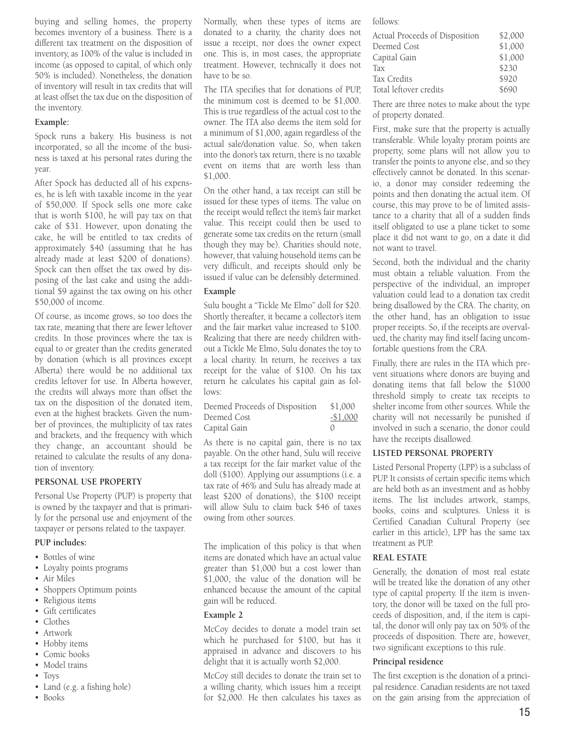buying and selling homes, the property becomes inventory of a business. There is a different tax treatment on the disposition of inventory, as 100% of the value is included in income (as opposed to capital, of which only 50% is included). Nonetheless, the donation of inventory will result in tax credits that will at least offset the tax due on the disposition of the inventory.

# **Example:**

Spock runs a bakery. His business is not incorporated, so all the income of the business is taxed at his personal rates during the year.

After Spock has deducted all of his expenses, he is left with taxable income in the year of \$50,000. If Spock sells one more cake that is worth \$100, he will pay tax on that cake of \$31. However, upon donating the cake, he will be entitled to tax credits of approximately \$40 (assuming that he has already made at least \$200 of donations). Spock can then offset the tax owed by disposing of the last cake and using the additional \$9 against the tax owing on his other \$50,000 of income.

Of course, as income grows, so too does the tax rate, meaning that there are fewer leftover credits. In those provinces where the tax is equal to or greater than the credits generated by donation (which is all provinces except Alberta) there would be no additional tax credits leftover for use. In Alberta however, the credits will always more than offset the tax on the disposition of the donated item, even at the highest brackets. Given the number of provinces, the multiplicity of tax rates and brackets, and the frequency with which they change, an accountant should be retained to calculate the results of any donation of inventory.

#### **PERSONAL USE PROPERTY**

Personal Use Property (PUP) is property that is owned by the taxpayer and that is primarily for the personal use and enjoyment of the taxpayer or persons related to the taxpayer.

# **PUP includes:**

- Bottles of wine
- Loyalty points programs
- Air Miles
- Shoppers Optimum points
- Religious items
- Gift certificates
- Clothes
- Artwork
- Hobby items
- Comic books
- Model trains
- Toys
- Land (e.g. a fishing hole)
- Books

Normally, when these types of items are donated to a charity, the charity does not issue a receipt, nor does the owner expect one. This is, in most cases, the appropriate treatment. However, technically it does not have to be so.

The ITA specifies that for donations of PUP, the minimum cost is deemed to be \$1,000. This is true regardless of the actual cost to the owner. The ITA also deems the item sold for a minimum of \$1,000, again regardless of the actual sale/donation value. So, when taken into the donor's tax return, there is no taxable event on items that are worth less than \$1,000.

On the other hand, a tax receipt can still be issued for these types of items. The value on the receipt would reflect the item's fair market value. This receipt could then be used to generate some tax credits on the return (small though they may be). Charities should note, however, that valuing household items can be very difficult, and receipts should only be issued if value can be defensibly determined.

#### **Example**

Sulu bought a "Tickle Me Elmo" doll for \$20. Shortly thereafter, it became a collector's item and the fair market value increased to \$100. Realizing that there are needy children without a Tickle Me Elmo, Sulu donates the toy to a local charity. In return, he receives a tax receipt for the value of \$100. On his tax return he calculates his capital gain as follows:

| Deemed Proceeds of Disposition | \$1,000          |
|--------------------------------|------------------|
| Deemed Cost                    | $-$1,000$        |
| Capital Gain                   | $\left( \right)$ |

As there is no capital gain, there is no tax payable. On the other hand, Sulu will receive a tax receipt for the fair market value of the doll (\$100). Applying our assumptions (i.e. a tax rate of 46% and Sulu has already made at least \$200 of donations), the \$100 receipt will allow Sulu to claim back \$46 of taxes owing from other sources.

The implication of this policy is that when items are donated which have an actual value greater than \$1,000 but a cost lower than \$1,000, the value of the donation will be enhanced because the amount of the capital gain will be reduced.

#### **Example 2**

McCoy decides to donate a model train set which he purchased for \$100, but has it appraised in advance and discovers to his delight that it is actually worth \$2,000.

McCoy still decides to donate the train set to a willing charity, which issues him a receipt for \$2,000. He then calculates his taxes as follows:

| Actual Proceeds of Disposition | \$2,000 |
|--------------------------------|---------|
| Deemed Cost                    | \$1,000 |
| Capital Gain                   | \$1,000 |
| Tax                            | \$230   |
| Tax Credits                    | \$920   |
| Total leftover credits         | \$690   |

There are three notes to make about the type of property donated.

First, make sure that the property is actually transferable. While loyalty proram points are property, some plans will not allow you to transfer the points to anyone else, and so they effectively cannot be donated. In this scenario, a donor may consider redeeming the points and then donating the actual item. Of course, this may prove to be of limited assistance to a charity that all of a sudden finds itself obligated to use a plane ticket to some place it did not want to go, on a date it did not want to travel.

Second, both the individual and the charity must obtain a reliable valuation. From the perspective of the individual, an improper valuation could lead to a donation tax credit being disallowed by the CRA. The charity, on the other hand, has an obligation to issue proper receipts. So, if the receipts are overvalued, the charity may find itself facing uncomfortable questions from the CRA.

Finally, there are rules in the ITA which prevent situations where donors are buying and donating items that fall below the \$1000 threshold simply to create tax receipts to shelter income from other sources. While the charity will not necessarily be punished if involved in such a scenario, the donor could have the receipts disallowed.

#### **LISTED PERSONAL PROPERTY**

Listed Personal Property (LPP) is a subclass of PUP. It consists of certain specific items which are held both as an investment and as hobby items. The list includes artwork, stamps, books, coins and sculptures. Unless it is Certified Canadian Cultural Property (see earlier in this article), LPP has the same tax treatment as PUP.

# **REAL ESTATE**

Generally, the donation of most real estate will be treated like the donation of any other type of capital property. If the item is inventory, the donor will be taxed on the full proceeds of disposition, and, if the item is capital, the donor will only pay tax on 50% of the proceeds of disposition. There are, however, two significant exceptions to this rule.

#### **Principal residence**

The first exception is the donation of a principal residence. Canadian residents are not taxed on the gain arising from the appreciation of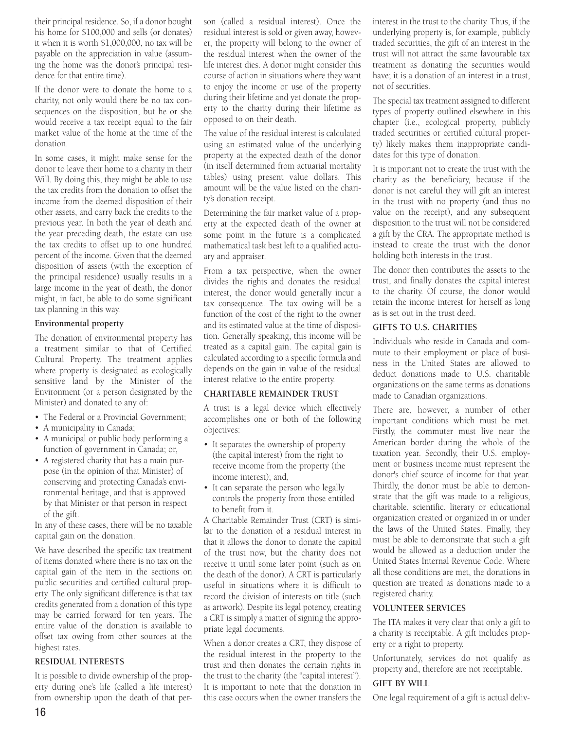their principal residence. So, if a donor bought his home for \$100,000 and sells (or donates) it when it is worth \$1,000,000, no tax will be payable on the appreciation in value (assuming the home was the donor's principal residence for that entire time).

If the donor were to donate the home to a charity, not only would there be no tax consequences on the disposition, but he or she would receive a tax receipt equal to the fair market value of the home at the time of the donation.

In some cases, it might make sense for the donor to leave their home to a charity in their Will. By doing this, they might be able to use the tax credits from the donation to offset the income from the deemed disposition of their other assets, and carry back the credits to the previous year. In both the year of death and the year preceding death, the estate can use the tax credits to offset up to one hundred percent of the income. Given that the deemed disposition of assets (with the exception of the principal residence) usually results in a large income in the year of death, the donor might, in fact, be able to do some significant tax planning in this way.

# **Environmental property**

The donation of environmental property has a treatment similar to that of Certified Cultural Property. The treatment applies where property is designated as ecologically sensitive land by the Minister of the Environment (or a person designated by the Minister) and donated to any of:

- The Federal or a Provincial Government;
- A municipality in Canada;
- A municipal or public body performing a function of government in Canada; or,
- A registered charity that has a main purpose (in the opinion of that Minister) of conserving and protecting Canada's environmental heritage, and that is approved by that Minister or that person in respect of the gift.

In any of these cases, there will be no taxable capital gain on the donation.

We have described the specific tax treatment of items donated where there is no tax on the capital gain of the item in the sections on public securities and certified cultural property. The only significant difference is that tax credits generated from a donation of this type may be carried forward for ten years. The entire value of the donation is available to offset tax owing from other sources at the highest rates.

# **RESIDUAL INTERESTS**

It is possible to divide ownership of the property during one's life (called a life interest) from ownership upon the death of that person (called a residual interest). Once the residual interest is sold or given away, however, the property will belong to the owner of the residual interest when the owner of the life interest dies. A donor might consider this course of action in situations where they want to enjoy the income or use of the property during their lifetime and yet donate the property to the charity during their lifetime as opposed to on their death.

The value of the residual interest is calculated using an estimated value of the underlying property at the expected death of the donor (in itself determined from actuarial mortality tables) using present value dollars. This amount will be the value listed on the charity's donation receipt.

Determining the fair market value of a property at the expected death of the owner at some point in the future is a complicated mathematical task best left to a qualified actuary and appraiser.

From a tax perspective, when the owner divides the rights and donates the residual interest, the donor would generally incur a tax consequence. The tax owing will be a function of the cost of the right to the owner and its estimated value at the time of disposition. Generally speaking, this income will be treated as a capital gain. The capital gain is calculated according to a specific formula and depends on the gain in value of the residual interest relative to the entire property.

# **CHARITABLE REMAINDER TRUST**

A trust is a legal device which effectively accomplishes one or both of the following objectives:

- It separates the ownership of property (the capital interest) from the right to receive income from the property (the income interest); and,
- It can separate the person who legally controls the property from those entitled to benefit from it.

A Charitable Remainder Trust (CRT) is similar to the donation of a residual interest in that it allows the donor to donate the capital of the trust now, but the charity does not receive it until some later point (such as on the death of the donor). A CRT is particularly useful in situations where it is difficult to record the division of interests on title (such as artwork). Despite its legal potency, creating a CRT is simply a matter of signing the appropriate legal documents.

When a donor creates a CRT, they dispose of the residual interest in the property to the trust and then donates the certain rights in the trust to the charity (the "capital interest"). It is important to note that the donation in this case occurs when the owner transfers the

interest in the trust to the charity. Thus, if the underlying property is, for example, publicly traded securities, the gift of an interest in the trust will not attract the same favourable tax treatment as donating the securities would have; it is a donation of an interest in a trust, not of securities.

The special tax treatment assigned to different types of property outlined elsewhere in this chapter (i.e., ecological property, publicly traded securities or certified cultural property) likely makes them inappropriate candidates for this type of donation.

It is important not to create the trust with the charity as the beneficiary, because if the donor is not careful they will gift an interest in the trust with no property (and thus no value on the receipt), and any subsequent disposition to the trust will not be considered a gift by the CRA. The appropriate method is instead to create the trust with the donor holding both interests in the trust.

The donor then contributes the assets to the trust, and finally donates the capital interest to the charity. Of course, the donor would retain the income interest for herself as long as is set out in the trust deed.

# **GIFTS TO U.S. CHARITIES**

Individuals who reside in Canada and commute to their employment or place of business in the United States are allowed to deduct donations made to U.S. charitable organizations on the same terms as donations made to Canadian organizations.

There are, however, a number of other important conditions which must be met. Firstly, the commuter must live near the American border during the whole of the taxation year. Secondly, their U.S. employment or business income must represent the donor's chief source of income for that year. Thirdly, the donor must be able to demonstrate that the gift was made to a religious, charitable, scientific, literary or educational organization created or organized in or under the laws of the United States. Finally, they must be able to demonstrate that such a gift would be allowed as a deduction under the United States Internal Revenue Code. Where all those conditions are met, the donations in question are treated as donations made to a registered charity.

# **VOLUNTEER SERVICES**

The ITA makes it very clear that only a gift to a charity is receiptable. A gift includes property or a right to property.

Unfortunately, services do not qualify as property and, therefore are not receiptable.

# **GIFT BY WILL**

One legal requirement of a gift is actual deliv-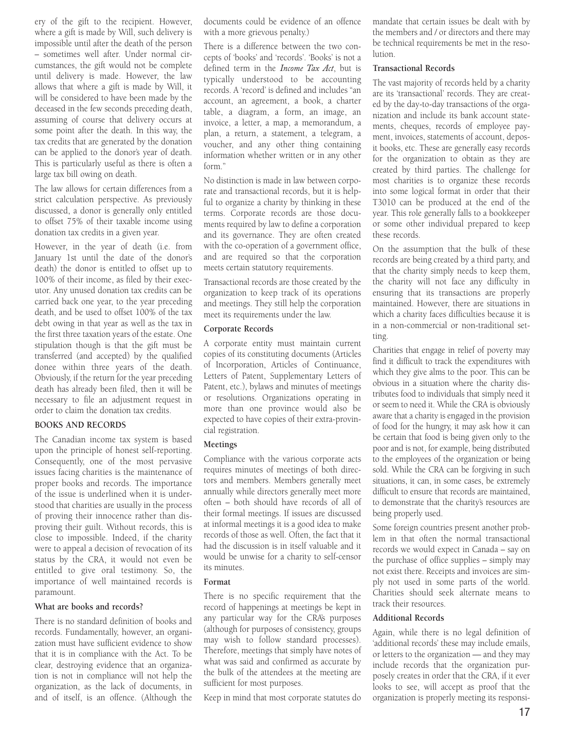ery of the gift to the recipient. However, where a gift is made by Will, such delivery is impossible until after the death of the person – sometimes well after. Under normal circumstances, the gift would not be complete until delivery is made. However, the law allows that where a gift is made by Will, it will be considered to have been made by the deceased in the few seconds preceding death, assuming of course that delivery occurs at some point after the death. In this way, the tax credits that are generated by the donation can be applied to the donor's year of death. This is particularly useful as there is often a large tax bill owing on death.

The law allows for certain differences from a strict calculation perspective. As previously discussed, a donor is generally only entitled to offset 75% of their taxable income using donation tax credits in a given year.

However, in the year of death (i.e. from January 1st until the date of the donor's death) the donor is entitled to offset up to 100% of their income, as filed by their executor. Any unused donation tax credits can be carried back one year, to the year preceding death, and be used to offset 100% of the tax debt owing in that year as well as the tax in the first three taxation years of the estate. One stipulation though is that the gift must be transferred (and accepted) by the qualified donee within three years of the death. Obviously, if the return for the year preceding death has already been filed, then it will be necessary to file an adjustment request in order to claim the donation tax credits.

#### **BOOKS AND RECORDS**

The Canadian income tax system is based upon the principle of honest self-reporting. Consequently, one of the most pervasive issues facing charities is the maintenance of proper books and records. The importance of the issue is underlined when it is understood that charities are usually in the process of proving their innocence rather than disproving their guilt. Without records, this is close to impossible. Indeed, if the charity were to appeal a decision of revocation of its status by the CRA, it would not even be entitled to give oral testimony. So, the importance of well maintained records is paramount.

#### **What are books and records?**

There is no standard definition of books and records. Fundamentally, however, an organization must have sufficient evidence to show that it is in compliance with the Act. To be clear, destroying evidence that an organization is not in compliance will not help the organization, as the lack of documents, in and of itself, is an offence. (Although the

documents could be evidence of an offence with a more grievous penalty.)

There is a difference between the two concepts of 'books' and 'records'. 'Books' is not a defined term in the *Income Tax Act*, but is typically understood to be accounting records. A 'record' is defined and includes "an account, an agreement, a book, a charter table, a diagram, a form, an image, an invoice, a letter, a map, a memorandum, a plan, a return, a statement, a telegram, a voucher, and any other thing containing information whether written or in any other form."

No distinction is made in law between corporate and transactional records, but it is helpful to organize a charity by thinking in these terms. Corporate records are those documents required by law to define a corporation and its governance. They are often created with the co-operation of a government office, and are required so that the corporation meets certain statutory requirements.

Transactional records are those created by the organization to keep track of its operations and meetings. They still help the corporation meet its requirements under the law.

#### **Corporate Records**

A corporate entity must maintain current copies of its constituting documents (Articles of Incorporation, Articles of Continuance, Letters of Patent, Supplementary Letters of Patent, etc.), bylaws and minutes of meetings or resolutions. Organizations operating in more than one province would also be expected to have copies of their extra-provincial registration.

#### **Meetings**

Compliance with the various corporate acts requires minutes of meetings of both directors and members. Members generally meet annually while directors generally meet more often – both should have records of all of their formal meetings. If issues are discussed at informal meetings it is a good idea to make records of those as well. Often, the fact that it had the discussion is in itself valuable and it would be unwise for a charity to self-censor its minutes.

#### **Format**

There is no specific requirement that the record of happenings at meetings be kept in any particular way for the CRA's purposes (although for purposes of consistency, groups may wish to follow standard processes). Therefore, meetings that simply have notes of what was said and confirmed as accurate by the bulk of the attendees at the meeting are sufficient for most purposes.

Keep in mind that most corporate statutes do

mandate that certain issues be dealt with by the members and / or directors and there may be technical requirements be met in the resolution.

#### **Transactional Records**

The vast majority of records held by a charity are its 'transactional' records. They are created by the day-to-day transactions of the organization and include its bank account statements, cheques, records of employee payment, invoices, statements of account, deposit books, etc. These are generally easy records for the organization to obtain as they are created by third parties. The challenge for most charities is to organize these records into some logical format in order that their T3010 can be produced at the end of the year. This role generally falls to a bookkeeper or some other individual prepared to keep these records.

On the assumption that the bulk of these records are being created by a third party, and that the charity simply needs to keep them, the charity will not face any difficulty in ensuring that its transactions are properly maintained. However, there are situations in which a charity faces difficulties because it is in a non-commercial or non-traditional setting.

Charities that engage in relief of poverty may find it difficult to track the expenditures with which they give alms to the poor. This can be obvious in a situation where the charity distributes food to individuals that simply need it or seem to need it. While the CRA is obviously aware that a charity is engaged in the provision of food for the hungry, it may ask how it can be certain that food is being given only to the poor and is not, for example, being distributed to the employees of the organization or being sold. While the CRA can be forgiving in such situations, it can, in some cases, be extremely difficult to ensure that records are maintained, to demonstrate that the charity's resources are being properly used.

Some foreign countries present another problem in that often the normal transactional records we would expect in Canada – say on the purchase of office supplies – simply may not exist there. Receipts and invoices are simply not used in some parts of the world. Charities should seek alternate means to track their resources.

#### **Additional Records**

Again, while there is no legal definition of 'additional records' these may include emails, or letters to the organization — and they may include records that the organization purposely creates in order that the CRA, if it ever looks to see, will accept as proof that the organization is properly meeting its responsi